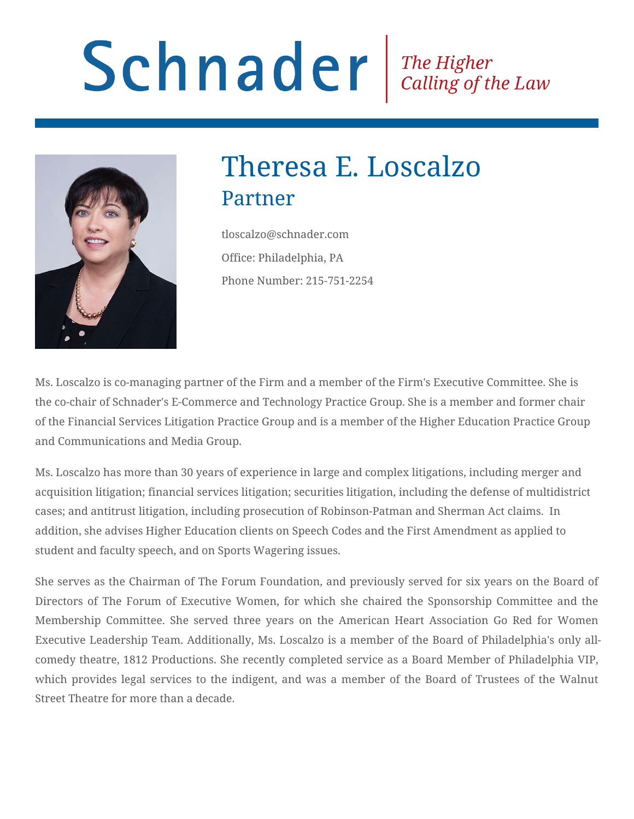# Schnader Fine Higher Calling of the Law



## Theresa E. Loscalzo Partner

tloscalzo@schnader.com Office: Philadelphia, PA Phone Number: 215-751-2254

Ms. Loscalzo is co-managing partner of the Firm and a member of the Firm's Executive Committee. She is the co-chair of Schnader's E-Commerce and Technology Practice Group. She is a member and former chair of the Financial Services Litigation Practice Group and is a member of the Higher Education Practice Group and Communications and Media Group.

Ms. Loscalzo has more than 30 years of experience in large and complex litigations, including merger and acquisition litigation; financial services litigation; securities litigation, including the defense of multidistrict cases; and antitrust litigation, including prosecution of Robinson-Patman and Sherman Act claims. In addition, she advises Higher Education clients on Speech Codes and the First Amendment as applied to student and faculty speech, and on Sports Wagering issues.

She serves as the Chairman of The Forum Foundation, and previously served for six years on the Board of Directors of The Forum of Executive Women, for which she chaired the Sponsorship Committee and the Membership Committee. She served three years on the American Heart Association Go Red for Women Executive Leadership Team. Additionally, Ms. Loscalzo is a member of the Board of Philadelphia's only allcomedy theatre, 1812 Productions. She recently completed service as a Board Member of Philadelphia VIP, which provides legal services to the indigent, and was a member of the Board of Trustees of the Walnut Street Theatre for more than a decade.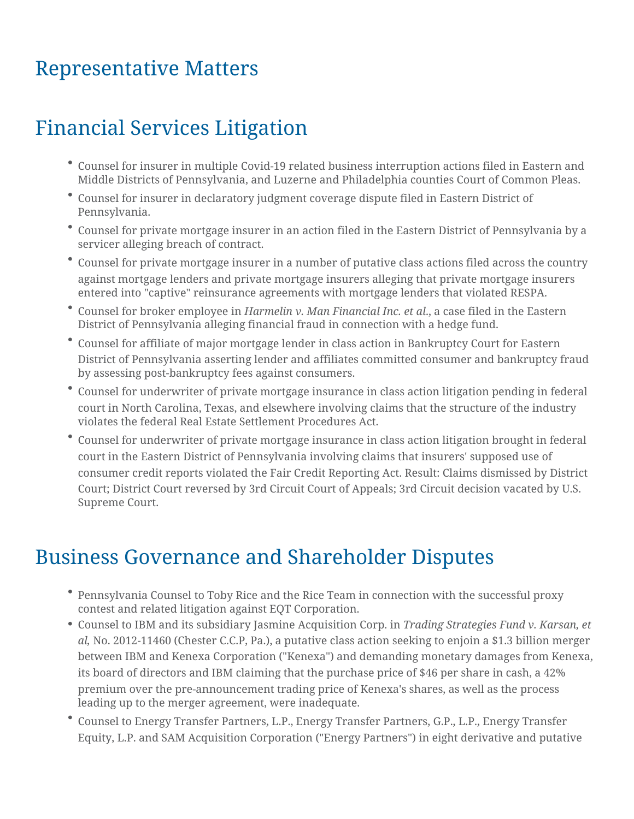### Representative Matters

### Financial Services Litigation

- Counsel for insurer in multiple Covid-19 related business interruption actions filed in Eastern and Middle Districts of Pennsylvania, and Luzerne and Philadelphia counties Court of Common Pleas.
- Counsel for insurer in declaratory judgment coverage dispute filed in Eastern District of Pennsylvania.
- Counsel for private mortgage insurer in an action filed in the Eastern District of Pennsylvania by a servicer alleging breach of contract.
- Counsel for private mortgage insurer in a number of putative class actions filed across the country against mortgage lenders and private mortgage insurers alleging that private mortgage insurers entered into "captive" reinsurance agreements with mortgage lenders that violated RESPA.
- Counsel for broker employee in *Harmelin v. Man Financial Inc. et al*., a case filed in the Eastern District of Pennsylvania alleging financial fraud in connection with a hedge fund.
- Counsel for affiliate of major mortgage lender in class action in Bankruptcy Court for Eastern District of Pennsylvania asserting lender and affiliates committed consumer and bankruptcy fraud by assessing post-bankruptcy fees against consumers.
- Counsel for underwriter of private mortgage insurance in class action litigation pending in federal court in North Carolina, Texas, and elsewhere involving claims that the structure of the industry violates the federal Real Estate Settlement Procedures Act.
- Counsel for underwriter of private mortgage insurance in class action litigation brought in federal court in the Eastern District of Pennsylvania involving claims that insurers' supposed use of consumer credit reports violated the Fair Credit Reporting Act. Result: Claims dismissed by District Court; District Court reversed by 3rd Circuit Court of Appeals; 3rd Circuit decision vacated by U.S. Supreme Court.

#### Business Governance and Shareholder Disputes

- Pennsylvania Counsel to Toby Rice and the Rice Team in connection with the successful proxy contest and related litigation against EQT Corporation.
- Counsel to IBM and its subsidiary Jasmine Acquisition Corp. in *Trading Strategies Fund v. Karsan, et al,* No. 2012-11460 (Chester C.C.P, Pa.), a putative class action seeking to enjoin a \$1.3 billion merger between IBM and Kenexa Corporation ("Kenexa") and demanding monetary damages from Kenexa, its board of directors and IBM claiming that the purchase price of \$46 per share in cash, a 42% premium over the pre-announcement trading price of Kenexa's shares, as well as the process leading up to the merger agreement, were inadequate.
- Counsel to Energy Transfer Partners, L.P., Energy Transfer Partners, G.P., L.P., Energy Transfer Equity, L.P. and SAM Acquisition Corporation ("Energy Partners") in eight derivative and putative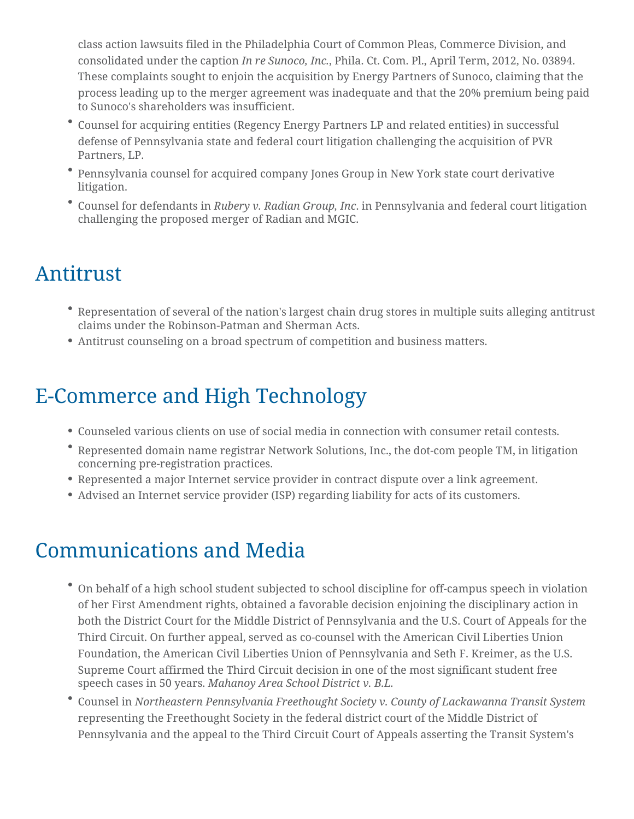class action lawsuits filed in the Philadelphia Court of Common Pleas, Commerce Division, and consolidated under the caption *In re Sunoco, Inc.*, Phila. Ct. Com. Pl., April Term, 2012, No. 03894. These complaints sought to enjoin the acquisition by Energy Partners of Sunoco, claiming that the process leading up to the merger agreement was inadequate and that the 20% premium being paid to Sunoco's shareholders was insufficient.

- Counsel for acquiring entities (Regency Energy Partners LP and related entities) in successful defense of Pennsylvania state and federal court litigation challenging the acquisition of PVR Partners, LP.
- Pennsylvania counsel for acquired company Jones Group in New York state court derivative litigation.
- Counsel for defendants in *Rubery v. Radian Group, Inc*. in Pennsylvania and federal court litigation challenging the proposed merger of Radian and MGIC.

#### Antitrust

- Representation of several of the nation's largest chain drug stores in multiple suits alleging antitrust claims under the Robinson-Patman and Sherman Acts.
- Antitrust counseling on a broad spectrum of competition and business matters.

#### E-Commerce and High Technology

- Counseled various clients on use of social media in connection with consumer retail contests.
- Represented domain name registrar Network Solutions, Inc., the dot-com people TM, in litigation concerning pre-registration practices.
- Represented a major Internet service provider in contract dispute over a link agreement.
- Advised an Internet service provider (ISP) regarding liability for acts of its customers.

#### Communications and Media

- On behalf of a high school student subjected to school discipline for off-campus speech in violation of her First Amendment rights, obtained a favorable decision enjoining the disciplinary action in both the District Court for the Middle District of Pennsylvania and the U.S. Court of Appeals for the Third Circuit. On further appeal, served as co-counsel with the American Civil Liberties Union Foundation, the American Civil Liberties Union of Pennsylvania and Seth F. Kreimer, as the U.S. Supreme Court affirmed the Third Circuit decision in one of the most significant student free speech cases in 50 years. *Mahanoy Area School District v. B.L.*
- Counsel in *Northeastern Pennsylvania Freethought Society v. County of Lackawanna Transit System* representing the Freethought Society in the federal district court of the Middle District of Pennsylvania and the appeal to the Third Circuit Court of Appeals asserting the Transit System's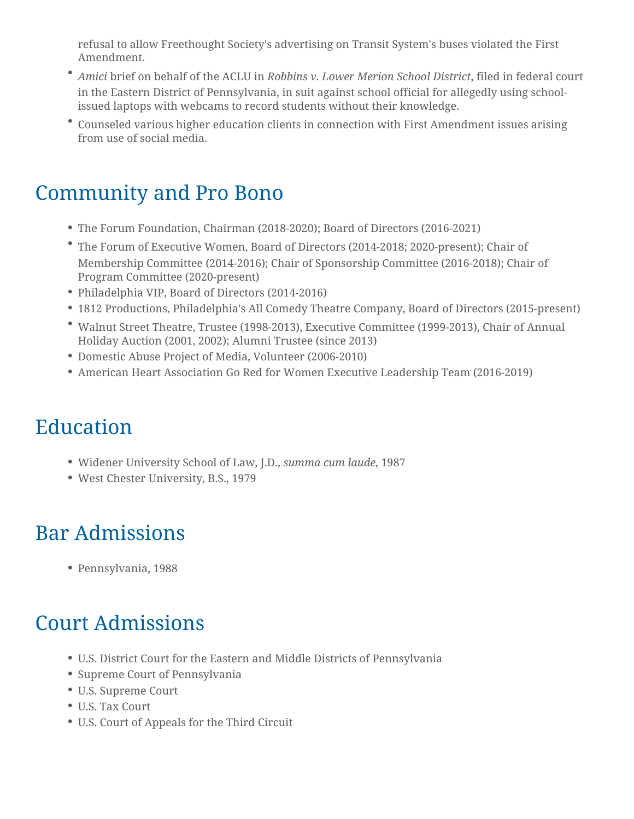refusal to allow Freethought Society's advertising on Transit System's buses violated the First Amendment.

- *Amici* brief on behalf of the ACLU in *Robbins v. Lower Merion School District*, filed in federal court in the Eastern District of Pennsylvania, in suit against school official for allegedly using schoolissued laptops with webcams to record students without their knowledge.
- Counseled various higher education clients in connection with First Amendment issues arising from use of social media.

### Community and Pro Bono

- The Forum Foundation, Chairman (2018-2020); Board of Directors (2016-2021)
- The Forum of Executive Women, Board of Directors (2014-2018; 2020-present); Chair of Membership Committee (2014-2016); Chair of Sponsorship Committee (2016-2018); Chair of Program Committee (2020-present)
- Philadelphia VIP, Board of Directors (2014-2016)
- 1812 Productions, Philadelphia's All Comedy Theatre Company, Board of Directors (2015-present)
- Walnut Street Theatre, Trustee (1998-2013), Executive Committee (1999-2013), Chair of Annual Holiday Auction (2001, 2002); Alumni Trustee (since 2013)
- Domestic Abuse Project of Media, Volunteer (2006-2010)
- American Heart Association Go Red for Women Executive Leadership Team (2016-2019)

## Education

- Widener University School of Law, J.D., *summa cum laude*, 1987
- West Chester University, B.S., 1979

## Bar Admissions

Pennsylvania, 1988

### Court Admissions

- U.S. District Court for the Eastern and Middle Districts of Pennsylvania
- Supreme Court of Pennsylvania
- U.S. Supreme Court
- U.S. Tax Court
- U.S. Court of Appeals for the Third Circuit